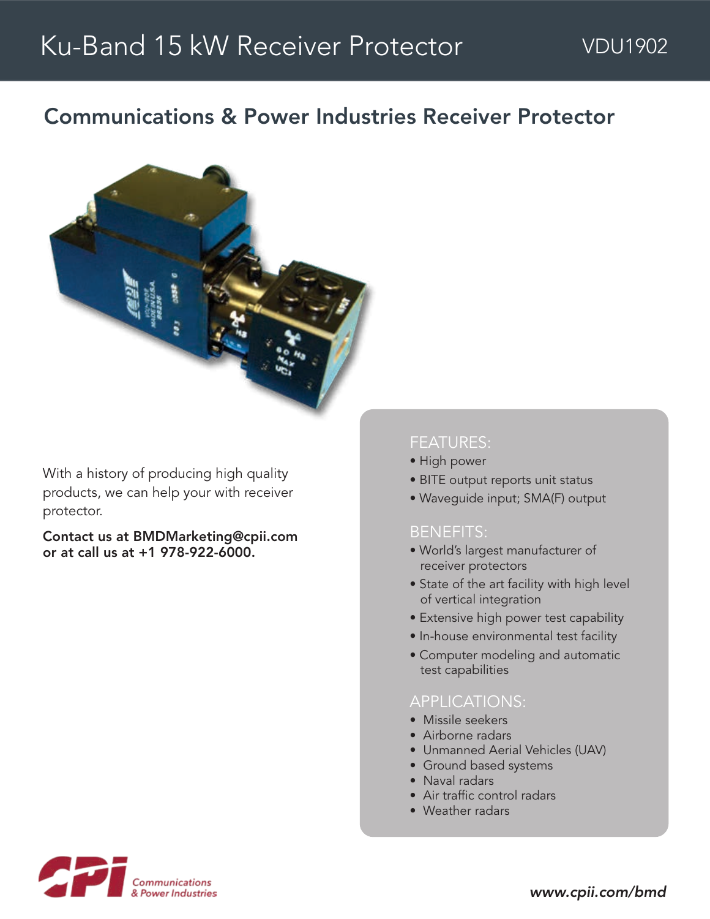## Communications & Power Industries Receiver Protector



With a history of producing high quality products, we can help your with receiver protector.

Contact us at BMDMarketing@cpii.com or at call us at +1 978-922-6000.

### FEATURES:

- High power
- BITE output reports unit status
- Waveguide input; SMA(F) output

#### BENEFITS:

- World's largest manufacturer of receiver protectors
- State of the art facility with high level of vertical integration
- Extensive high power test capability
- In-house environmental test facility
- Computer modeling and automatic test capabilities

#### APPLICATIONS:

- Missile seekers
- Airborne radars
- Unmanned Aerial Vehicles (UAV)
- Ground based systems
- Naval radars
- Air traffic control radars
- Weather radars